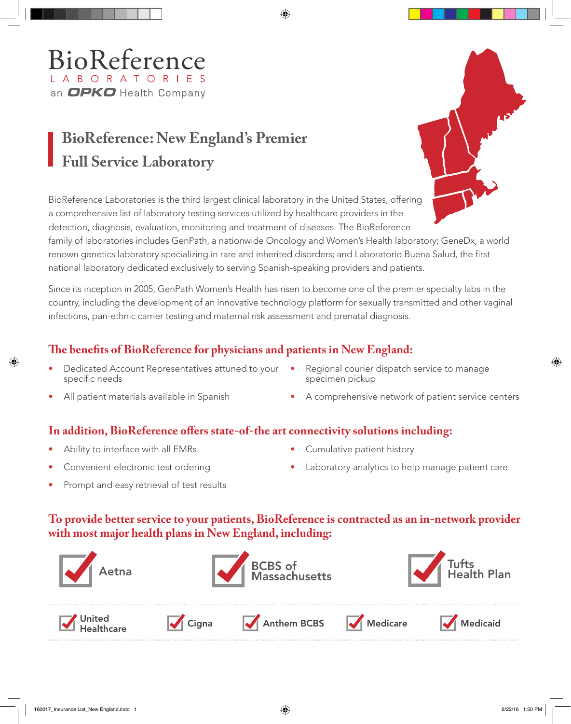## BioReference L A B O R A T O R I E S an OPKO Health Company

# **BioReference: New England's Premier Full Service Laboratory**

BioReference Laboratories is the third largest clinical laboratory in the United States, offering a comprehensive list of laboratory testing services utilized by healthcare providers in the detection, diagnosis, evaluation, monitoring and treatment of diseases. The BioReference

family of laboratories includes GenPath, a nationwide Oncology and Women's Health laboratory; GeneDx, a world renown genetics laboratory specializing in rare and inherited disorders; and Laboratorio Buena Salud, the first national laboratory dedicated exclusively to serving Spanish-speaking providers and patients.

Since its inception in 2005, GenPath Women's Health has risen to become one of the premier specialty labs in the country, including the development of an innovative technology platform for sexually transmitted and other vaginal infections, pan-ethnic carrier testing and maternal risk assessment and prenatal diagnosis.

### **The benefits of BioReference for physicians and patients in New England:**

- Dedicated Account Representatives attuned to your specific needs
- Regional courier dispatch service to manage specimen pickup
- All patient materials available in Spanish
- A comprehensive network of patient service centers

#### **In addition, BioReference offers state-of-the art connectivity solutions including:**

- Ability to interface with all EMRs
- Convenient electronic test ordering
- Cumulative patient history
- Laboratory analytics to help manage patient care
- Prompt and easy retrieval of test results

#### **To provide better service to your patients, BioReference is contracted as an in-network provider with most major health plans in New England, including:**